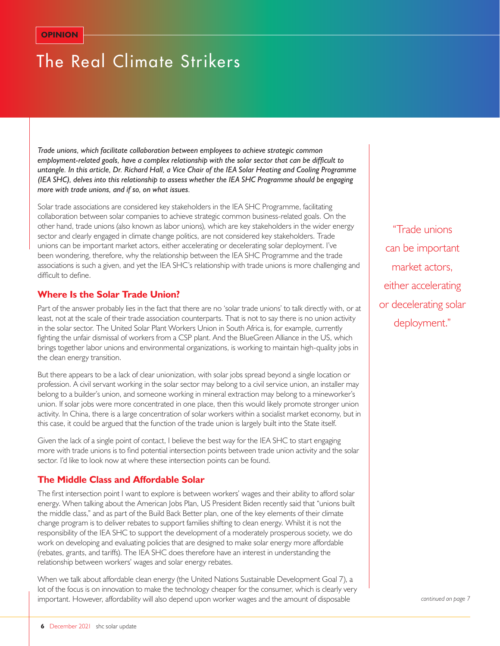# The Real Climate Strikers

*Trade unions, which facilitate collaboration between employees to achieve strategic common employment-related goals, have a complex relationship with the solar sector that can be difficult to untangle. In this article, Dr. Richard Hall, a Vice Chair of the IEA Solar Heating and Cooling Programme (IEA SHC), delves into this relationship to assess whether the IEA SHC Programme should be engaging more with trade unions, and if so, on what issues.*

Solar trade associations are considered key stakeholders in the IEA SHC Programme, facilitating collaboration between solar companies to achieve strategic common business-related goals. On the other hand, trade unions (also known as labor unions), which are key stakeholders in the wider energy sector and clearly engaged in climate change politics, are not considered key stakeholders. Trade unions can be important market actors, either accelerating or decelerating solar deployment. I've been wondering, therefore, why the relationship between the IEA SHC Programme and the trade associations is such a given, and yet the IEA SHC's relationship with trade unions is more challenging and difficult to define.

## **Where Is the Solar Trade Union?**

Part of the answer probably lies in the fact that there are no 'solar trade unions' to talk directly with, or at least, not at the scale of their trade association counterparts. That is not to say there is no union activity in the solar sector. The United Solar Plant Workers Union in South Africa is, for example, currently fighting the unfair dismissal of workers from a CSP plant. And the BlueGreen Alliance in the US, which brings together labor unions and environmental organizations, is working to maintain high-quality jobs in the clean energy transition.

But there appears to be a lack of clear unionization, with solar jobs spread beyond a single location or profession. A civil servant working in the solar sector may belong to a civil service union, an installer may belong to a builder's union, and someone working in mineral extraction may belong to a mineworker's union. If solar jobs were more concentrated in one place, then this would likely promote stronger union activity. In China, there is a large concentration of solar workers within a socialist market economy, but in this case, it could be argued that the function of the trade union is largely built into the State itself.

Given the lack of a single point of contact, I believe the best way for the IEA SHC to start engaging more with trade unions is to find potential intersection points between trade union activity and the solar sector. I'd like to look now at where these intersection points can be found.

## **The Middle Class and Affordable Solar**

The first intersection point I want to explore is between workers' wages and their ability to afford solar energy. When talking about the American Jobs Plan, US President Biden recently said that "unions built the middle class," and as part of the Build Back Better plan, one of the key elements of their climate change program is to deliver rebates to support families shifting to clean energy. Whilst it is not the responsibility of the IEA SHC to support the development of a moderately prosperous society, we do work on developing and evaluating policies that are designed to make solar energy more affordable (rebates, grants, and tariffs). The IEA SHC does therefore have an interest in understanding the relationship between workers' wages and solar energy rebates.

When we talk about affordable clean energy (the United Nations Sustainable Development Goal 7), a lot of the focus is on innovation to make the technology cheaper for the consumer, which is clearly very important. However, affordability will also depend upon worker wages and the amount of disposable

"Trade unions can be important market actors, either accelerating or decelerating solar deployment."